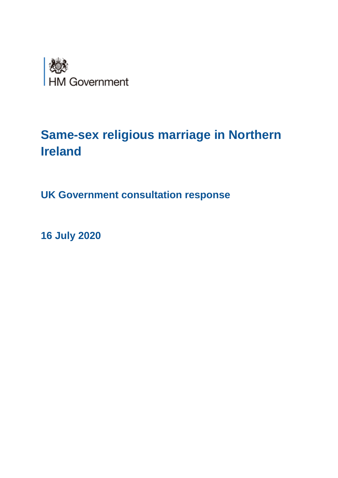

# **Same-sex religious marriage in Northern Ireland**

**UK Government consultation response**

**16 July 2020**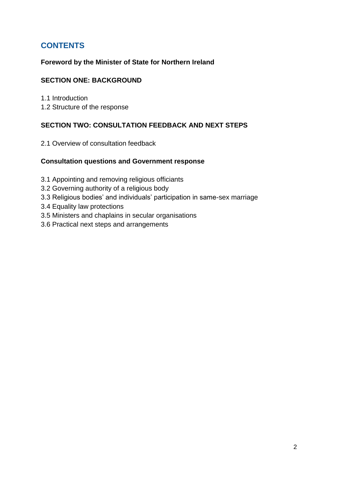# **CONTENTS**

# **Foreword by the Minister of State for Northern Ireland**

# **SECTION ONE: BACKGROUND**

- 1.1 Introduction
- 1.2 Structure of the response

### **SECTION TWO: CONSULTATION FEEDBACK AND NEXT STEPS**

2.1 Overview of consultation feedback

#### **Consultation questions and Government response**

- 3.1 Appointing and removing religious officiants
- 3.2 Governing authority of a religious body
- 3.3 Religious bodies' and individuals' participation in same-sex marriage
- 3.4 Equality law protections
- 3.5 Ministers and chaplains in secular organisations
- 3.6 Practical next steps and arrangements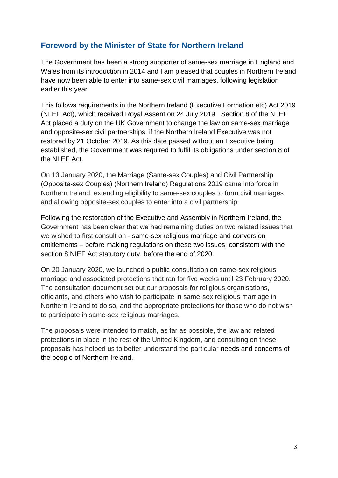# **Foreword by the Minister of State for Northern Ireland**

The Government has been a strong supporter of same-sex marriage in England and Wales from its introduction in 2014 and I am pleased that couples in Northern Ireland have now been able to enter into same-sex civil marriages, following legislation earlier this year.

This follows requirements in the Northern Ireland (Executive Formation etc) Act 2019 (NI EF Act), which received Royal Assent on 24 July 2019. Section 8 of the NI EF Act placed a duty on the UK Government to change the law on same-sex marriage and opposite-sex civil partnerships, if the Northern Ireland Executive was not restored by 21 October 2019. As this date passed without an Executive being established, the Government was required to fulfil its obligations under section 8 of the NI EF Act.

On 13 January 2020, the Marriage (Same-sex Couples) and Civil Partnership (Opposite-sex Couples) (Northern Ireland) Regulations 2019 came into force in Northern Ireland, extending eligibility to same-sex couples to form civil marriages and allowing opposite-sex couples to enter into a civil partnership.

Following the restoration of the Executive and Assembly in Northern Ireland, the Government has been clear that we had remaining duties on two related issues that we wished to first consult on - same-sex religious marriage and conversion entitlements – before making regulations on these two issues, consistent with the section 8 NIEF Act statutory duty, before the end of 2020.

On 20 January 2020, we launched a public consultation on same-sex religious marriage and associated protections that ran for five weeks until 23 February 2020. The consultation document set out our proposals for religious organisations, officiants, and others who wish to participate in same-sex religious marriage in Northern Ireland to do so, and the appropriate protections for those who do not wish to participate in same-sex religious marriages.

The proposals were intended to match, as far as possible, the law and related protections in place in the rest of the United Kingdom, and consulting on these proposals has helped us to better understand the particular needs and concerns of the people of Northern Ireland.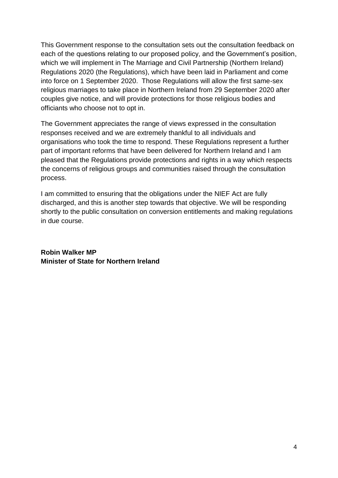This Government response to the consultation sets out the consultation feedback on each of the questions relating to our proposed policy, and the Government's position, which we will implement in The Marriage and Civil Partnership (Northern Ireland) Regulations 2020 (the Regulations), which have been laid in Parliament and come into force on 1 September 2020. Those Regulations will allow the first same-sex religious marriages to take place in Northern Ireland from 29 September 2020 after couples give notice, and will provide protections for those religious bodies and officiants who choose not to opt in.

The Government appreciates the range of views expressed in the consultation responses received and we are extremely thankful to all individuals and organisations who took the time to respond. These Regulations represent a further part of important reforms that have been delivered for Northern Ireland and I am pleased that the Regulations provide protections and rights in a way which respects the concerns of religious groups and communities raised through the consultation process.

I am committed to ensuring that the obligations under the NIEF Act are fully discharged, and this is another step towards that objective. We will be responding shortly to the public consultation on conversion entitlements and making regulations in due course.

**Robin Walker MP Minister of State for Northern Ireland**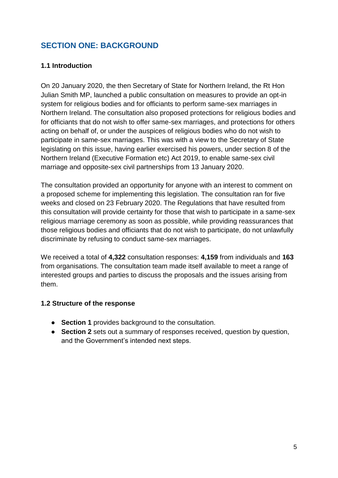# **SECTION ONE: BACKGROUND**

# **1.1 Introduction**

On 20 January 2020, the then Secretary of State for Northern Ireland, the Rt Hon Julian Smith MP, launched a public consultation on measures to provide an opt-in system for religious bodies and for officiants to perform same-sex marriages in Northern Ireland. The consultation also proposed protections for religious bodies and for officiants that do not wish to offer same-sex marriages, and protections for others acting on behalf of, or under the auspices of religious bodies who do not wish to participate in same-sex marriages. This was with a view to the Secretary of State legislating on this issue, having earlier exercised his powers, under section 8 of the Northern Ireland (Executive Formation etc) Act 2019, to enable same-sex civil marriage and opposite-sex civil partnerships from 13 January 2020.

The consultation provided an opportunity for anyone with an interest to comment on a proposed scheme for implementing this legislation. The consultation ran for five weeks and closed on 23 February 2020. The Regulations that have resulted from this consultation will provide certainty for those that wish to participate in a same-sex religious marriage ceremony as soon as possible, while providing reassurances that those religious bodies and officiants that do not wish to participate, do not unlawfully discriminate by refusing to conduct same-sex marriages.

We received a total of **4,322** consultation responses: **4,159** from individuals and **163** from organisations. The consultation team made itself available to meet a range of interested groups and parties to discuss the proposals and the issues arising from them.

### **1.2 Structure of the response**

- **Section 1** provides background to the consultation.
- **Section 2** sets out a summary of responses received, question by question, and the Government's intended next steps.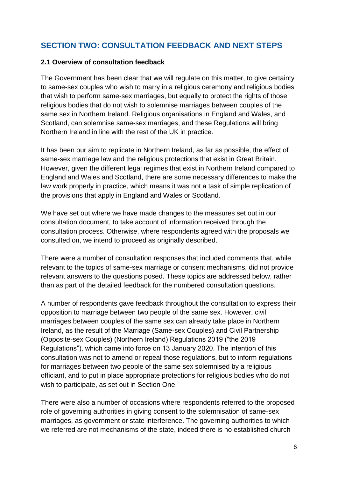# **SECTION TWO: CONSULTATION FEEDBACK AND NEXT STEPS**

#### **2.1 Overview of consultation feedback**

The Government has been clear that we will regulate on this matter, to give certainty to same-sex couples who wish to marry in a religious ceremony and religious bodies that wish to perform same-sex marriages, but equally to protect the rights of those religious bodies that do not wish to solemnise marriages between couples of the same sex in Northern Ireland. Religious organisations in England and Wales, and Scotland, can solemnise same-sex marriages, and these Regulations will bring Northern Ireland in line with the rest of the UK in practice.

It has been our aim to replicate in Northern Ireland, as far as possible, the effect of same-sex marriage law and the religious protections that exist in Great Britain. However, given the different legal regimes that exist in Northern Ireland compared to England and Wales and Scotland, there are some necessary differences to make the law work properly in practice, which means it was not a task of simple replication of the provisions that apply in England and Wales or Scotland.

We have set out where we have made changes to the measures set out in our consultation document, to take account of information received through the consultation process. Otherwise, where respondents agreed with the proposals we consulted on, we intend to proceed as originally described.

There were a number of consultation responses that included comments that, while relevant to the topics of same-sex marriage or consent mechanisms, did not provide relevant answers to the questions posed. These topics are addressed below, rather than as part of the detailed feedback for the numbered consultation questions.

A number of respondents gave feedback throughout the consultation to express their opposition to marriage between two people of the same sex. However, civil marriages between couples of the same sex can already take place in Northern Ireland, as the result of the Marriage (Same-sex Couples) and Civil Partnership (Opposite-sex Couples) (Northern Ireland) Regulations 2019 ("the 2019 Regulations"), which came into force on 13 January 2020. The intention of this consultation was not to amend or repeal those regulations, but to inform regulations for marriages between two people of the same sex solemnised by a religious officiant, and to put in place appropriate protections for religious bodies who do not wish to participate, as set out in Section One.

There were also a number of occasions where respondents referred to the proposed role of governing authorities in giving consent to the solemnisation of same-sex marriages, as government or state interference. The governing authorities to which we referred are not mechanisms of the state, indeed there is no established church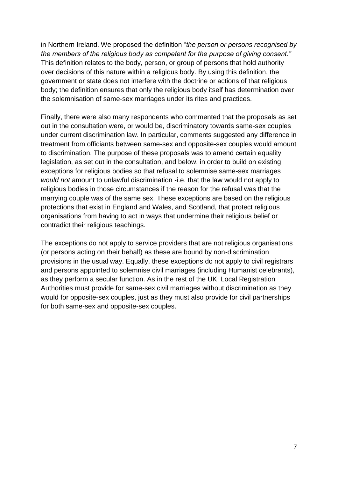in Northern Ireland. We proposed the definition "*the person or persons recognised by the members of the religious body as competent for the purpose of giving consent."* This definition relates to the body, person, or group of persons that hold authority over decisions of this nature within a religious body. By using this definition, the government or state does not interfere with the doctrine or actions of that religious body; the definition ensures that only the religious body itself has determination over the solemnisation of same-sex marriages under its rites and practices.

Finally, there were also many respondents who commented that the proposals as set out in the consultation were, or would be, discriminatory towards same-sex couples under current discrimination law. In particular, comments suggested any difference in treatment from officiants between same-sex and opposite-sex couples would amount to discrimination. The purpose of these proposals was to amend certain equality legislation, as set out in the consultation, and below, in order to build on existing exceptions for religious bodies so that refusal to solemnise same-sex marriages *would not* amount to unlawful discrimination -i.e. that the law would not apply to religious bodies in those circumstances if the reason for the refusal was that the marrying couple was of the same sex. These exceptions are based on the religious protections that exist in England and Wales, and Scotland, that protect religious organisations from having to act in ways that undermine their religious belief or contradict their religious teachings.

The exceptions do not apply to service providers that are not religious organisations (or persons acting on their behalf) as these are bound by non-discrimination provisions in the usual way. Equally, these exceptions do not apply to civil registrars and persons appointed to solemnise civil marriages (including Humanist celebrants), as they perform a secular function. As in the rest of the UK, Local Registration Authorities must provide for same-sex civil marriages without discrimination as they would for opposite-sex couples, just as they must also provide for civil partnerships for both same-sex and opposite-sex couples.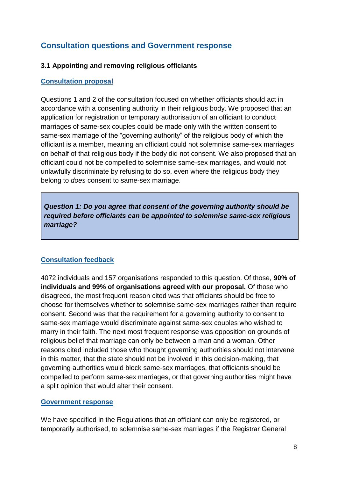# **Consultation questions and Government response**

#### **3.1 Appointing and removing religious officiants**

#### **Consultation proposal**

Questions 1 and 2 of the consultation focused on whether officiants should act in accordance with a consenting authority in their religious body. We proposed that an application for registration or temporary authorisation of an officiant to conduct marriages of same-sex couples could be made only with the written consent to same-sex marriage of the "governing authority" of the religious body of which the officiant is a member, meaning an officiant could not solemnise same-sex marriages on behalf of that religious body if the body did not consent. We also proposed that an officiant could not be compelled to solemnise same-sex marriages, and would not unlawfully discriminate by refusing to do so, even where the religious body they belong to *does* consent to same-sex marriage.

*Question 1: Do you agree that consent of the governing authority should be required before officiants can be appointed to solemnise same-sex religious marriage?*

### **Consultation feedback**

4072 individuals and 157 organisations responded to this question. Of those, **90% of individuals and 99% of organisations agreed with our proposal.** Of those who disagreed, the most frequent reason cited was that officiants should be free to choose for themselves whether to solemnise same-sex marriages rather than require consent. Second was that the requirement for a governing authority to consent to same-sex marriage would discriminate against same-sex couples who wished to marry in their faith. The next most frequent response was opposition on grounds of religious belief that marriage can only be between a man and a woman. Other reasons cited included those who thought governing authorities should not intervene in this matter, that the state should not be involved in this decision-making, that governing authorities would block same-sex marriages, that officiants should be compelled to perform same-sex marriages, or that governing authorities might have a split opinion that would alter their consent.

#### **Government response**

We have specified in the Regulations that an officiant can only be registered, or temporarily authorised, to solemnise same-sex marriages if the Registrar General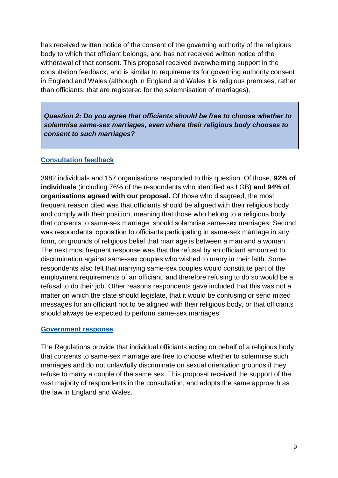has received written notice of the consent of the governing authority of the religious body to which that officiant belongs, and has not received written notice of the withdrawal of that consent. This proposal received overwhelming support in the consultation feedback, and is similar to requirements for governing authority consent in England and Wales (although in England and Wales it is religious premises, rather than officiants, that are registered for the solemnisation of marriages).

*Question 2: Do you agree that officiants should be free to choose whether to solemnise same-sex marriages, even where their religious body chooses to consent to such marriages?*

#### **Consultation feedback**

3982 individuals and 157 organisations responded to this question. Of those, **92% of individuals** (including 76% of the respondents who identified as LGB) **and 94% of organisations agreed with our proposal.** Of those who disagreed, the most frequent reason cited was that officiants should be aligned with their religious body and comply with their position, meaning that those who belong to a religious body that consents to same-sex marriage, should solemnise same-sex marriages. Second was respondents' opposition to officiants participating in same-sex marriage in any form, on grounds of religious belief that marriage is between a man and a woman. The next most frequent response was that the refusal by an officiant amounted to discrimination against same-sex couples who wished to marry in their faith. Some respondents also felt that marrying same-sex couples would constitute part of the employment requirements of an officiant, and therefore refusing to do so would be a refusal to do their job. Other reasons respondents gave included that this was not a matter on which the state should legislate, that it would be confusing or send mixed messages for an officiant not to be aligned with their religious body, or that officiants should always be expected to perform same-sex marriages.

#### **Government response**

The Regulations provide that individual officiants acting on behalf of a religious body that consents to same-sex marriage are free to choose whether to solemnise such marriages and do not unlawfully discriminate on sexual orientation grounds if they refuse to marry a couple of the same sex. This proposal received the support of the vast majority of respondents in the consultation, and adopts the same approach as the law in England and Wales.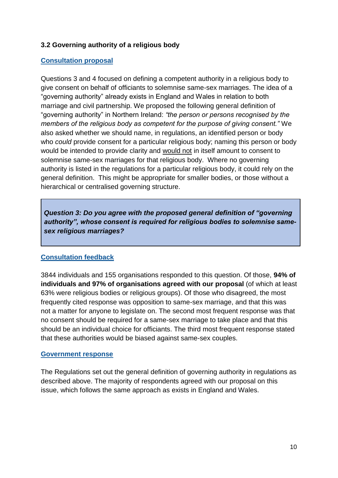## **3.2 Governing authority of a religious body**

#### **Consultation proposal**

Questions 3 and 4 focused on defining a competent authority in a religious body to give consent on behalf of officiants to solemnise same-sex marriages. The idea of a "governing authority" already exists in England and Wales in relation to both marriage and civil partnership. We proposed the following general definition of "governing authority" in Northern Ireland: *"the person or persons recognised by the members of the religious body as competent for the purpose of giving consent."* We also asked whether we should name, in regulations, an identified person or body who *could* provide consent for a particular religious body; naming this person or body would be intended to provide clarity and would not in itself amount to consent to solemnise same-sex marriages for that religious body. Where no governing authority is listed in the regulations for a particular religious body, it could rely on the general definition. This might be appropriate for smaller bodies, or those without a hierarchical or centralised governing structure.

*Question 3: Do you agree with the proposed general definition of "governing authority", whose consent is required for religious bodies to solemnise samesex religious marriages?*

### **Consultation feedback**

3844 individuals and 155 organisations responded to this question. Of those, **94% of individuals and 97% of organisations agreed with our proposal** (of which at least 63% were religious bodies or religious groups). Of those who disagreed, the most frequently cited response was opposition to same-sex marriage, and that this was not a matter for anyone to legislate on. The second most frequent response was that no consent should be required for a same-sex marriage to take place and that this should be an individual choice for officiants. The third most frequent response stated that these authorities would be biased against same-sex couples.

#### **Government response**

The Regulations set out the general definition of governing authority in regulations as described above. The majority of respondents agreed with our proposal on this issue, which follows the same approach as exists in England and Wales.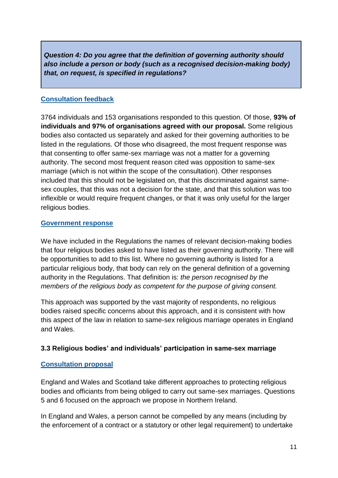*Question 4: Do you agree that the definition of governing authority should also include a person or body (such as a recognised decision-making body) that, on request, is specified in regulations?*

## **Consultation feedback**

3764 individuals and 153 organisations responded to this question. Of those, **93% of individuals and 97% of organisations agreed with our proposal.** Some religious bodies also contacted us separately and asked for their governing authorities to be listed in the regulations. Of those who disagreed, the most frequent response was that consenting to offer same-sex marriage was not a matter for a governing authority. The second most frequent reason cited was opposition to same-sex marriage (which is not within the scope of the consultation). Other responses included that this should not be legislated on, that this discriminated against samesex couples, that this was not a decision for the state, and that this solution was too inflexible or would require frequent changes, or that it was only useful for the larger religious bodies.

#### **Government response**

We have included in the Regulations the names of relevant decision-making bodies that four religious bodies asked to have listed as their governing authority. There will be opportunities to add to this list. Where no governing authority is listed for a particular religious body, that body can rely on the general definition of a governing authority in the Regulations. That definition is: *the person recognised by the members of the religious body as competent for the purpose of giving consent.*

This approach was supported by the vast majority of respondents, no religious bodies raised specific concerns about this approach, and it is consistent with how this aspect of the law in relation to same-sex religious marriage operates in England and Wales.

### **3.3 Religious bodies' and individuals' participation in same-sex marriage**

### **Consultation proposal**

England and Wales and Scotland take different approaches to protecting religious bodies and officiants from being obliged to carry out same-sex marriages. Questions 5 and 6 focused on the approach we propose in Northern Ireland.

In England and Wales, a person cannot be compelled by any means (including by the enforcement of a contract or a statutory or other legal requirement) to undertake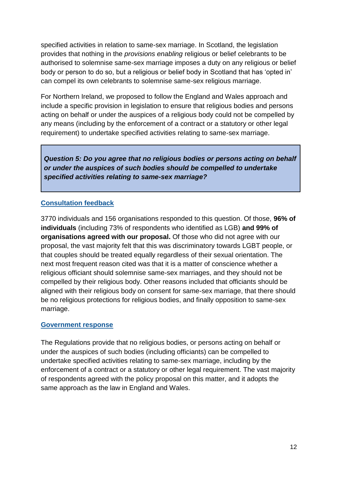specified activities in relation to same-sex marriage. In Scotland, the legislation provides that nothing in the *provisions enabling* religious or belief celebrants to be authorised to solemnise same-sex marriage imposes a duty on any religious or belief body or person to do so, but a religious or belief body in Scotland that has 'opted in' can compel its own celebrants to solemnise same-sex religious marriage.

For Northern Ireland, we proposed to follow the England and Wales approach and include a specific provision in legislation to ensure that religious bodies and persons acting on behalf or under the auspices of a religious body could not be compelled by any means (including by the enforcement of a contract or a statutory or other legal requirement) to undertake specified activities relating to same-sex marriage.

*Question 5: Do you agree that no religious bodies or persons acting on behalf or under the auspices of such bodies should be compelled to undertake specified activities relating to same-sex marriage?*

# **Consultation feedback**

3770 individuals and 156 organisations responded to this question. Of those, **96% of individuals** (including 73% of respondents who identified as LGB) **and 99% of organisations agreed with our proposal.** Of those who did not agree with our proposal, the vast majority felt that this was discriminatory towards LGBT people, or that couples should be treated equally regardless of their sexual orientation. The next most frequent reason cited was that it is a matter of conscience whether a religious officiant should solemnise same-sex marriages, and they should not be compelled by their religious body. Other reasons included that officiants should be aligned with their religious body on consent for same-sex marriage, that there should be no religious protections for religious bodies, and finally opposition to same-sex marriage.

#### **Government response**

The Regulations provide that no religious bodies, or persons acting on behalf or under the auspices of such bodies (including officiants) can be compelled to undertake specified activities relating to same-sex marriage, including by the enforcement of a contract or a statutory or other legal requirement. The vast majority of respondents agreed with the policy proposal on this matter, and it adopts the same approach as the law in England and Wales.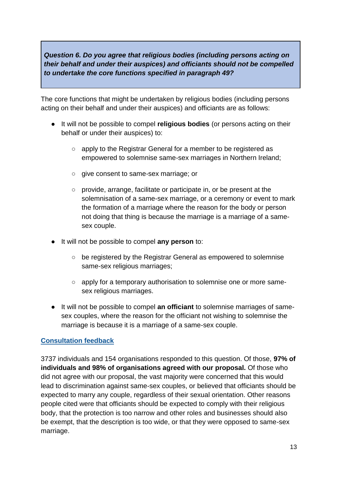*Question 6. Do you agree that religious bodies (including persons acting on their behalf and under their auspices) and officiants should not be compelled to undertake the core functions specified in paragraph 49?*

The core functions that might be undertaken by religious bodies (including persons acting on their behalf and under their auspices) and officiants are as follows:

- It will not be possible to compel **religious bodies** (or persons acting on their behalf or under their auspices) to:
	- apply to the Registrar General for a member to be registered as empowered to solemnise same-sex marriages in Northern Ireland;
	- give consent to same-sex marriage; or
	- provide, arrange, facilitate or participate in, or be present at the solemnisation of a same-sex marriage, or a ceremony or event to mark the formation of a marriage where the reason for the body or person not doing that thing is because the marriage is a marriage of a samesex couple.
- It will not be possible to compel **any person** to:
	- be registered by the Registrar General as empowered to solemnise same-sex religious marriages;
	- apply for a temporary authorisation to solemnise one or more samesex religious marriages.
- It will not be possible to compel **an officiant** to solemnise marriages of samesex couples, where the reason for the officiant not wishing to solemnise the marriage is because it is a marriage of a same-sex couple.

# **Consultation feedback**

3737 individuals and 154 organisations responded to this question. Of those, **97% of individuals and 98% of organisations agreed with our proposal.** Of those who did not agree with our proposal, the vast majority were concerned that this would lead to discrimination against same-sex couples, or believed that officiants should be expected to marry any couple, regardless of their sexual orientation. Other reasons people cited were that officiants should be expected to comply with their religious body, that the protection is too narrow and other roles and businesses should also be exempt, that the description is too wide, or that they were opposed to same-sex marriage.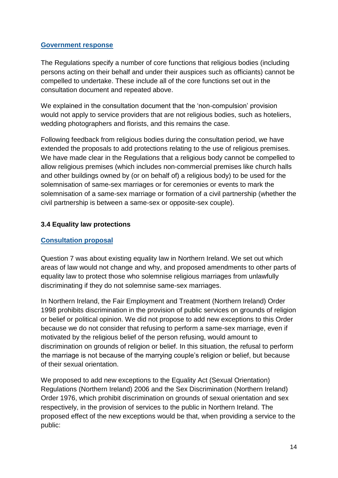## **Government response**

The Regulations specify a number of core functions that religious bodies (including persons acting on their behalf and under their auspices such as officiants) cannot be compelled to undertake. These include all of the core functions set out in the consultation document and repeated above.

We explained in the consultation document that the 'non-compulsion' provision would not apply to service providers that are not religious bodies, such as hoteliers, wedding photographers and florists, and this remains the case.

Following feedback from religious bodies during the consultation period, we have extended the proposals to add protections relating to the use of religious premises. We have made clear in the Regulations that a religious body cannot be compelled to allow religious premises (which includes non-commercial premises like church halls and other buildings owned by (or on behalf of) a religious body) to be used for the solemnisation of same-sex marriages or for ceremonies or events to mark the solemnisation of a same-sex marriage or formation of a civil partnership (whether the civil partnership is between a same-sex or opposite-sex couple).

# **3.4 Equality law protections**

# **Consultation proposal**

Question 7 was about existing equality law in Northern Ireland. We set out which areas of law would not change and why, and proposed amendments to other parts of equality law to protect those who solemnise religious marriages from unlawfully discriminating if they do not solemnise same-sex marriages.

In Northern Ireland, the Fair Employment and Treatment (Northern Ireland) Order 1998 prohibits discrimination in the provision of public services on grounds of religion or belief or political opinion. We did not propose to add new exceptions to this Order because we do not consider that refusing to perform a same-sex marriage, even if motivated by the religious belief of the person refusing, would amount to discrimination on grounds of religion or belief. In this situation, the refusal to perform the marriage is not because of the marrying couple's religion or belief, but because of their sexual orientation.

We proposed to add new exceptions to the Equality Act (Sexual Orientation) Regulations (Northern Ireland) 2006 and the Sex Discrimination (Northern Ireland) Order 1976, which prohibit discrimination on grounds of sexual orientation and sex respectively, in the provision of services to the public in Northern Ireland. The proposed effect of the new exceptions would be that, when providing a service to the public: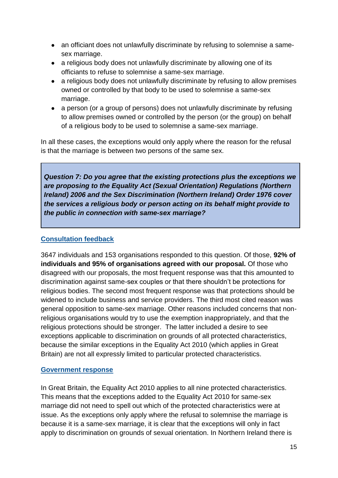- an officiant does not unlawfully discriminate by refusing to solemnise a samesex marriage.
- a religious body does not unlawfully discriminate by allowing one of its officiants to refuse to solemnise a same-sex marriage.
- a religious body does not unlawfully discriminate by refusing to allow premises owned or controlled by that body to be used to solemnise a same-sex marriage.
- a person (or a group of persons) does not unlawfully discriminate by refusing to allow premises owned or controlled by the person (or the group) on behalf of a religious body to be used to solemnise a same-sex marriage.

In all these cases, the exceptions would only apply where the reason for the refusal is that the marriage is between two persons of the same sex.

*Question 7: Do you agree that the existing protections plus the exceptions we are proposing to the Equality Act (Sexual Orientation) Regulations (Northern Ireland) 2006 and the Sex Discrimination (Northern Ireland) Order 1976 cover the services a religious body or person acting on its behalf might provide to the public in connection with same-sex marriage?* 

## **Consultation feedback**

3647 individuals and 153 organisations responded to this question. Of those, **92% of individuals and 95% of organisations agreed with our proposal.** Of those who disagreed with our proposals, the most frequent response was that this amounted to discrimination against same-sex couples or that there shouldn't be protections for religious bodies. The second most frequent response was that protections should be widened to include business and service providers. The third most cited reason was general opposition to same-sex marriage. Other reasons included concerns that nonreligious organisations would try to use the exemption inappropriately, and that the religious protections should be stronger. The latter included a desire to see exceptions applicable to discrimination on grounds of all protected characteristics, because the similar exceptions in the Equality Act 2010 (which applies in Great Britain) are not all expressly limited to particular protected characteristics.

### **Government response**

In Great Britain, the Equality Act 2010 applies to all nine protected characteristics. This means that the exceptions added to the Equality Act 2010 for same-sex marriage did not need to spell out which of the protected characteristics were at issue. As the exceptions only apply where the refusal to solemnise the marriage is because it is a same-sex marriage, it is clear that the exceptions will only in fact apply to discrimination on grounds of sexual orientation. In Northern Ireland there is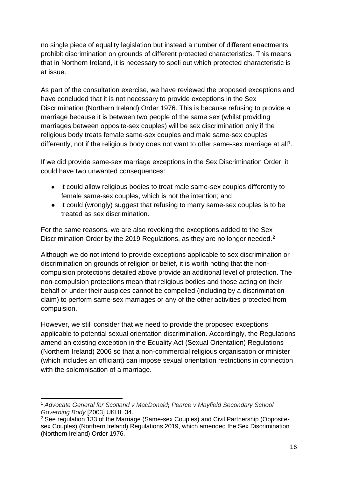no single piece of equality legislation but instead a number of different enactments prohibit discrimination on grounds of different protected characteristics. This means that in Northern Ireland, it is necessary to spell out which protected characteristic is at issue.

As part of the consultation exercise, we have reviewed the proposed exceptions and have concluded that it is not necessary to provide exceptions in the Sex Discrimination (Northern Ireland) Order 1976. This is because refusing to provide a marriage because it is between two people of the same sex (whilst providing marriages between opposite-sex couples) will be sex discrimination only if the religious body treats female same-sex couples and male same-sex couples differently, not if the religious body does not want to offer same-sex marriage at all<sup>1</sup>.

If we did provide same-sex marriage exceptions in the Sex Discrimination Order, it could have two unwanted consequences:

- it could allow religious bodies to treat male same-sex couples differently to female same-sex couples, which is not the intention; and
- it could (wrongly) suggest that refusing to marry same-sex couples is to be treated as sex discrimination.

For the same reasons, we are also revoking the exceptions added to the Sex Discrimination Order by the 2019 Regulations, as they are no longer needed.<sup>2</sup>

Although we do not intend to provide exceptions applicable to sex discrimination or discrimination on grounds of religion or belief, it is worth noting that the noncompulsion protections detailed above provide an additional level of protection. The non-compulsion protections mean that religious bodies and those acting on their behalf or under their auspices cannot be compelled (including by a discrimination claim) to perform same-sex marriages or any of the other activities protected from compulsion.

However, we still consider that we need to provide the proposed exceptions applicable to potential sexual orientation discrimination. Accordingly, the Regulations amend an existing exception in the Equality Act (Sexual Orientation) Regulations (Northern Ireland) 2006 so that a non-commercial religious organisation or minister (which includes an officiant) can impose sexual orientation restrictions in connection with the solemnisation of a marriage.

<sup>-</sup><sup>1</sup> *Advocate General for Scotland v MacDonald; Pearce v Mayfield Secondary School Governing Body* [2003] UKHL 34.

<sup>2</sup> See regulation 133 of the Marriage (Same-sex Couples) and Civil Partnership (Oppositesex Couples) (Northern Ireland) Regulations 2019, which amended the Sex Discrimination (Northern Ireland) Order 1976.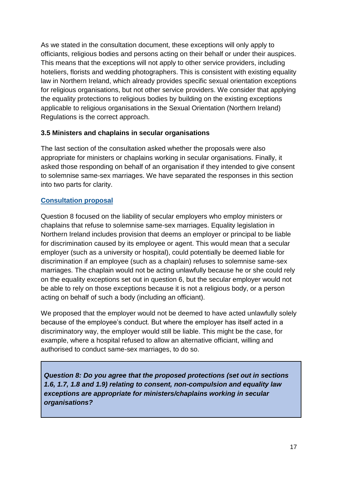As we stated in the consultation document, these exceptions will only apply to officiants, religious bodies and persons acting on their behalf or under their auspices. This means that the exceptions will not apply to other service providers, including hoteliers, florists and wedding photographers. This is consistent with existing equality law in Northern Ireland, which already provides specific sexual orientation exceptions for religious organisations, but not other service providers. We consider that applying the equality protections to religious bodies by building on the existing exceptions applicable to religious organisations in the Sexual Orientation (Northern Ireland) Regulations is the correct approach.

### **3.5 Ministers and chaplains in secular organisations**

The last section of the consultation asked whether the proposals were also appropriate for ministers or chaplains working in secular organisations. Finally, it asked those responding on behalf of an organisation if they intended to give consent to solemnise same-sex marriages. We have separated the responses in this section into two parts for clarity.

# **Consultation proposal**

Question 8 focused on the liability of secular employers who employ ministers or chaplains that refuse to solemnise same-sex marriages. Equality legislation in Northern Ireland includes provision that deems an employer or principal to be liable for discrimination caused by its employee or agent. This would mean that a secular employer (such as a university or hospital), could potentially be deemed liable for discrimination if an employee (such as a chaplain) refuses to solemnise same-sex marriages. The chaplain would not be acting unlawfully because he or she could rely on the equality exceptions set out in question 6, but the secular employer would not be able to rely on those exceptions because it is not a religious body, or a person acting on behalf of such a body (including an officiant).

We proposed that the employer would not be deemed to have acted unlawfully solely because of the employee's conduct. But where the employer has itself acted in a discriminatory way, the employer would still be liable. This might be the case, for example, where a hospital refused to allow an alternative officiant, willing and authorised to conduct same-sex marriages, to do so.

*Question 8: Do you agree that the proposed protections (set out in sections 1.6, 1.7, 1.8 and 1.9) relating to consent, non-compulsion and equality law exceptions are appropriate for ministers/chaplains working in secular organisations?*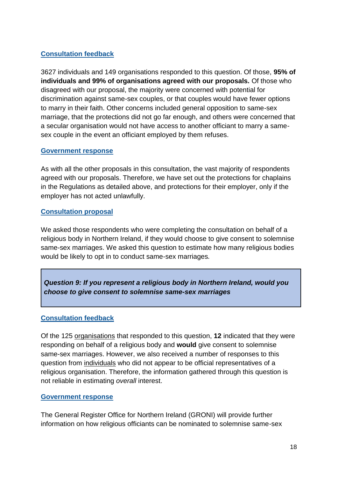# **Consultation feedback**

3627 individuals and 149 organisations responded to this question. Of those, **95% of individuals and 99% of organisations agreed with our proposals.** Of those who disagreed with our proposal, the majority were concerned with potential for discrimination against same-sex couples, or that couples would have fewer options to marry in their faith. Other concerns included general opposition to same-sex marriage, that the protections did not go far enough, and others were concerned that a secular organisation would not have access to another officiant to marry a samesex couple in the event an officiant employed by them refuses.

#### **Government response**

As with all the other proposals in this consultation, the vast majority of respondents agreed with our proposals. Therefore, we have set out the protections for chaplains in the Regulations as detailed above, and protections for their employer, only if the employer has not acted unlawfully.

#### **Consultation proposal**

We asked those respondents who were completing the consultation on behalf of a religious body in Northern Ireland, if they would choose to give consent to solemnise same-sex marriages. We asked this question to estimate how many religious bodies would be likely to opt in to conduct same-sex marriages*.*

*Question 9: If you represent a religious body in Northern Ireland, would you choose to give consent to solemnise same-sex marriages*

### **Consultation feedback**

Of the 125 organisations that responded to this question, **12** indicated that they were responding on behalf of a religious body and **would** give consent to solemnise same-sex marriages. However, we also received a number of responses to this question from individuals who did not appear to be official representatives of a religious organisation. Therefore, the information gathered through this question is not reliable in estimating *overall* interest.

#### **Government response**

The General Register Office for Northern Ireland (GRONI) will provide further information on how religious officiants can be nominated to solemnise same-sex